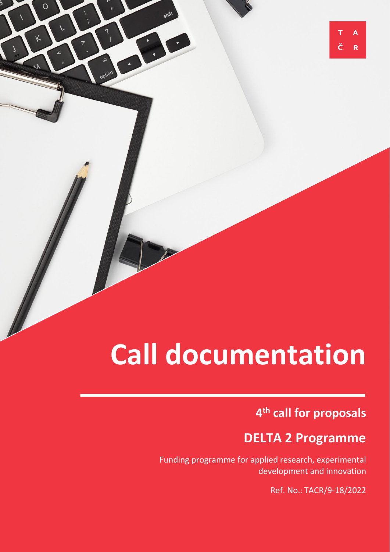# **Call documentation**

 $\circ$ 

## **4 th call for proposals**

 $\overline{\mathsf{A}}$ 

R

## **DELTA 2 Programme**

**The focus and conditions of the 4th call under**  Funding programme for applied research, experimental development and innovation

Ref. No.: TACR/9-18/2022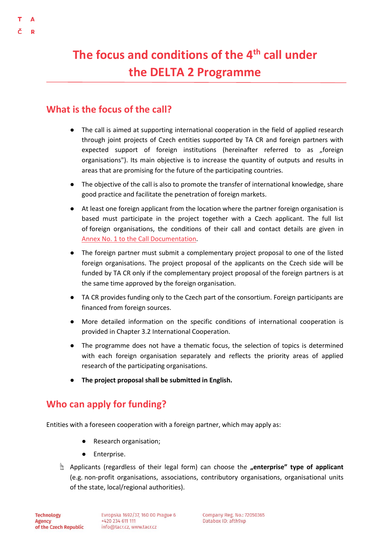## **The focus and conditions of the 4th call under the DELTA 2 Programme**

### **What is the focus of the call?**

- The call is aimed at supporting international cooperation in the field of applied research through joint projects of Czech entities supported by TA CR and foreign partners with expected support of foreign institutions (hereinafter referred to as "foreign organisations"). Its main objective is to increase the quantity of outputs and results in areas that are promising for the future of the participating countries.
- The objective of the call is also to promote the transfer of international knowledge, share good practice and facilitate the penetration of foreign markets.
- At least one foreign applicant from the location where the partner foreign organisation is based must participate in the project together with a Czech applicant. The full list of foreign organisations, the conditions of their call and contact details are given in [Annex No. 1 to the Call Documentation.](https://www.tacr.cz/wp-content/uploads/documents/2022/05/17/1652805973_Annex%20No.%201%20-%20Specific%20conditions%20of%20individual%20foreign%20organizations.pdf)
- The foreign partner must submit a complementary project proposal to one of the listed foreign organisations. The project proposal of the applicants on the Czech side will be funded by TA CR only if the complementary project proposal of the foreign partners is at the same time approved by the foreign organisation.
- TA CR provides funding only to the Czech part of the consortium. Foreign participants are financed from foreign sources.
- More detailed information on the specific conditions of international cooperation is provided in Chapter 3.2 International Cooperation.
- The programme does not have a thematic focus, the selection of topics is determined with each foreign organisation separately and reflects the priority areas of applied research of the participating organisations.
- The project proposal shall be submitted in English.

### **Who can apply for funding?**

Entities with a foreseen cooperation with a foreign partner, which may apply as:

- Research organisation;
- Enterprise.
- ☝ Applicants (regardless of their legal form) can choose the **"enterprise" type of applicant** (e.g. non-profit organisations, associations, contributory organisations, organisational units of the state, local/regional authorities).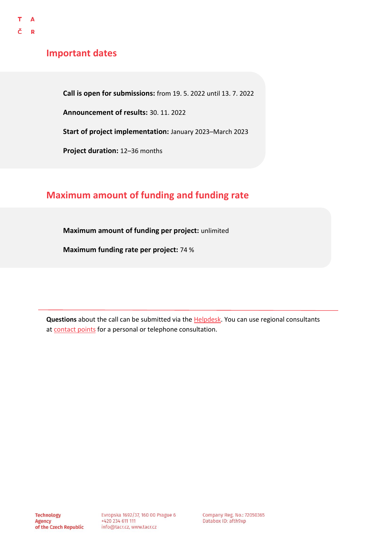### **Important dates**

**Call is open for submissions:** from 19. 5. 2022 until 13. 7. 2022

**Announcement of results:** 30. 11. 2022

**Start of project implementation:** January 2023–March 2023

**Project duration:** 12–36 months

### **Maximum amount of funding and funding rate**

**Maximum amount of funding per project:** unlimited

**Maximum funding rate per project:** 74 %

**Questions** about the call can be submitted via the [Helpdesk.](https://helpdesk.tacr.cz/) You can use regional consultants at [contact points](https://www.tacr.cz/o-nas/regionalni-kontaktni-mista/) for a personal or telephone consultation.

Company Reg. No.: 72050365 Databox ID: afth9xp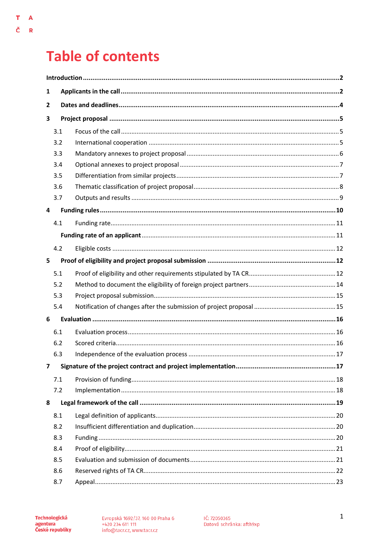## **Table of contents**

 $\bar{\mathbf{T}}$  $\overline{\mathbf{A}}$ 

Č  $\bar{\mathbf{R}}$ 

| 1            |              |    |  |  |  |
|--------------|--------------|----|--|--|--|
| $\mathbf{2}$ |              |    |  |  |  |
| 3            |              |    |  |  |  |
|              | 3.1          |    |  |  |  |
|              | 3.2          |    |  |  |  |
|              | 3.3          |    |  |  |  |
|              | 3.4          |    |  |  |  |
|              | 3.5          |    |  |  |  |
|              | 3.6          |    |  |  |  |
|              | 3.7          |    |  |  |  |
| 4            |              |    |  |  |  |
|              | 4.1          |    |  |  |  |
|              |              |    |  |  |  |
|              | 4.2          |    |  |  |  |
| 5            |              |    |  |  |  |
|              | 5.1          |    |  |  |  |
|              | 5.2          |    |  |  |  |
|              | 5.3          |    |  |  |  |
|              | 5.4          |    |  |  |  |
| 6            |              |    |  |  |  |
|              | 6.1          |    |  |  |  |
|              | 6.2          |    |  |  |  |
|              | 6.3          |    |  |  |  |
|              | $\mathbf{z}$ | 17 |  |  |  |
|              | 7.1          |    |  |  |  |
|              | 7.2          |    |  |  |  |
| 8            |              |    |  |  |  |
|              | 8.1          |    |  |  |  |
|              | 8.2          |    |  |  |  |
|              | 8.3          |    |  |  |  |
|              | 8.4          |    |  |  |  |
|              | 8.5          |    |  |  |  |
|              | 8.6          |    |  |  |  |
|              | 8.7          |    |  |  |  |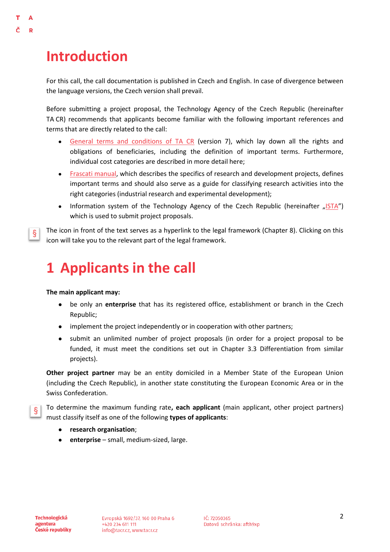## <span id="page-4-0"></span>**Introduction**

D

For this call, the call documentation is published in Czech and English. In case of divergence between the language versions, the Czech version shall prevail.

Before submitting a project proposal, the Technology Agency of the Czech Republic (hereinafter TA CR) recommends that applicants become familiar with the following important references and terms that are directly related to the call:

- [General terms and conditions of TA CR](https://www.tacr.cz/wp-content/uploads/documents/2022/05/17/1652806207_V%C5%A1eobecn%C3%A9%20podm%C3%ADnky%20(verze%20%C4%8D.%207).pdf) (version 7), which lay down all the rights and obligations of beneficiaries, including the definition of important terms. Furthermore, individual cost categories are described in more detail here;
- [Frascati manual,](https://www.tacr.cz/dokums_raw/novinky/170404_FRASCATI%20pdf_final_ke%20koment%C3%A1%C5%99%C5%AFm.pdf) which describes the specifics of research and development projects, defines important terms and should also serve as a guide for classifying research activities into the right categories (industrial research and experimental development);
- Information system of the Technology Agency of the Czech Republic (hereinafter "[ISTA](https://ista.tacr.cz/)") which is used to submit project proposals.

The icon in front of the text serves as a hyperlink to the legal framework (Chapter 8). Clicking on this §. icon will take you to the relevant part of the legal framework.

## <span id="page-4-1"></span>**1 Applicants in the call**

#### **The main applicant may:**

- be only an **enterprise** that has its registered office, establishment or branch in the Czech Republic;
- implement the project independently or in cooperation with other partners;
- submit an unlimited number of project proposals (in order for a project proposal to be funded, it must meet the conditions set out in Chapter 3.3 Differentiation from similar projects).

**Other project partner** may be an entity domiciled in a Member State of the European Union (including the Czech Republic), in another state constituting the European Economic Area or in the Swiss Confederation.

To determine the maximum funding rate**, each applicant** (main applicant, other project partners) Ş. must classify itself as one of the following **types of applicants**:

- **research organisation**;
- enterprise small, medium-sized, large.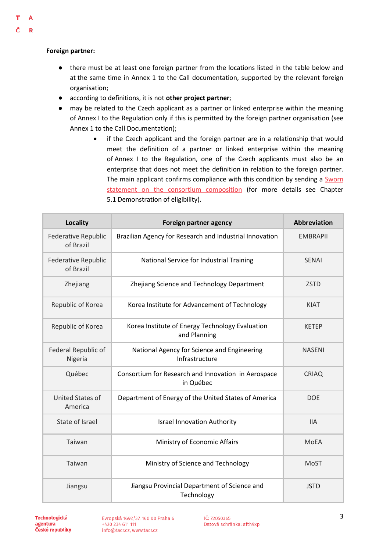#### Ŧ Δ

 $\mathbf R$ 

### **Foreign partner:**

- there must be at least one foreign partner from the locations listed in the table below and at the same time in Annex 1 to the Call documentation, supported by the relevant foreign organisation;
- according to definitions, it is not **other project partner**;
- may be related to the Czech applicant as a partner or linked enterprise within the meaning of Annex I to the Regulation only if this is permitted by the foreign partner organisation (see Annex 1 to the Call Documentation);
	- if the Czech applicant and the foreign partner are in a relationship that would meet the definition of a partner or linked enterprise within the meaning of Annex I to the Regulation, one of the Czech applicants must also be an enterprise that does not meet the definition in relation to the foreign partner. The main applicant confirms compliance with this condition by sending a [Sworn](https://www.tacr.cz/wp-content/uploads/documents/2022/05/17/1652806487_%C4%8Cestn%C3%A9%20prohl%C3%A1%C5%A1en%C3%AD%20o%20slo%C5%BEen%C3%AD%20konsorcia.docx)  [statement on the consortium composition](https://www.tacr.cz/wp-content/uploads/documents/2022/05/17/1652806487_%C4%8Cestn%C3%A9%20prohl%C3%A1%C5%A1en%C3%AD%20o%20slo%C5%BEen%C3%AD%20konsorcia.docx) (for more details see Chapter 5.1 Demonstration of eligibility).

| <b>Locality</b>                         | Foreign partner agency                                           | <b>Abbreviation</b> |
|-----------------------------------------|------------------------------------------------------------------|---------------------|
| <b>Federative Republic</b><br>of Brazil | Brazilian Agency for Research and Industrial Innovation          | <b>EMBRAPII</b>     |
| <b>Federative Republic</b><br>of Brazil | National Service for Industrial Training                         | <b>SENAI</b>        |
| Zhejiang                                | Zhejiang Science and Technology Department                       | <b>ZSTD</b>         |
| Republic of Korea                       | Korea Institute for Advancement of Technology                    | <b>KIAT</b>         |
| Republic of Korea                       | Korea Institute of Energy Technology Evaluation<br>and Planning  | <b>KETEP</b>        |
| Federal Republic of<br>Nigeria          | National Agency for Science and Engineering<br>Infrastructure    | <b>NASENI</b>       |
| Québec                                  | Consortium for Research and Innovation in Aerospace<br>in Québec | <b>CRIAQ</b>        |
| United States of<br>America             | Department of Energy of the United States of America             | <b>DOE</b>          |
| State of Israel                         | <b>Israel Innovation Authority</b>                               | <b>IIA</b>          |
| Taiwan                                  | Ministry of Economic Affairs                                     | <b>MoEA</b>         |
| Taiwan                                  | Ministry of Science and Technology                               | <b>MoST</b>         |
| Jiangsu                                 | Jiangsu Provincial Department of Science and<br>Technology       | <b>JSTD</b>         |

**Technologická** agentura České republiky

Evropská 1692/37, 160 00 Praha 6 +420 234 611 111 info@tacr.cz, www.tacr.cz

IČ: 72050365 Datová schránka: afth9xp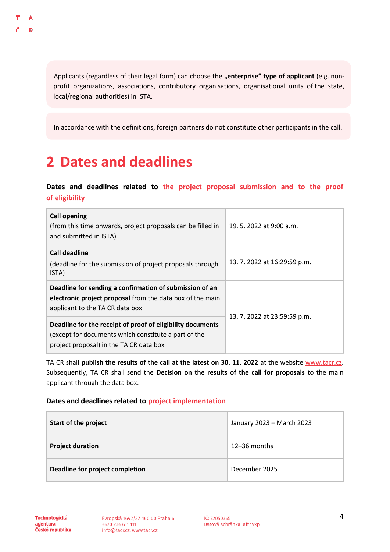Applicants (regardless of their legal form) can choose the **"enterprise" type of applicant** (e.g. nonprofit organizations, associations, contributory organisations, organisational units of the state, local/regional authorities) in ISTA.

In accordance with the definitions, foreign partners do not constitute other participants in the call.

## <span id="page-6-0"></span>**2 Dates and deadlines**

### **Dates and deadlines related to the project proposal submission and to the proof of eligibility**

| <b>Call opening</b><br>(from this time onwards, project proposals can be filled in<br>and submitted in ISTA)                                                  | 19.5.2022 at 9:00 a.m.       |  |
|---------------------------------------------------------------------------------------------------------------------------------------------------------------|------------------------------|--|
| <b>Call deadline</b><br>(deadline for the submission of project proposals through<br>ISTA)                                                                    | 13. 7. 2022 at 16:29:59 p.m. |  |
| Deadline for sending a confirmation of submission of an<br>electronic project proposal from the data box of the main<br>applicant to the TA CR data box       |                              |  |
| Deadline for the receipt of proof of eligibility documents<br>(except for documents which constitute a part of the<br>project proposal) in the TA CR data box | 13. 7. 2022 at 23:59:59 p.m. |  |

TA CR shall **publish the results of the call at the latest on 30. 11. 2022** at the website [www.tacr.cz.](http://www.tacr.cz/) Subsequently, TA CR shall send the **Decision on the results of the call for proposals** to the main applicant through the data box.

### **Dates and deadlines related to project implementation**

| Start of the project            | January 2023 - March 2023 |
|---------------------------------|---------------------------|
| <b>Project duration</b>         | $12 - 36$ months          |
| Deadline for project completion | December 2025             |

Technologická agentura České republiky

Evropská 1692/37, 160 00 Praha 6 +420 234 611 111 info@tacr.cz, www.tacr.cz

IČ: 72050365 Datová schránka: afth9xp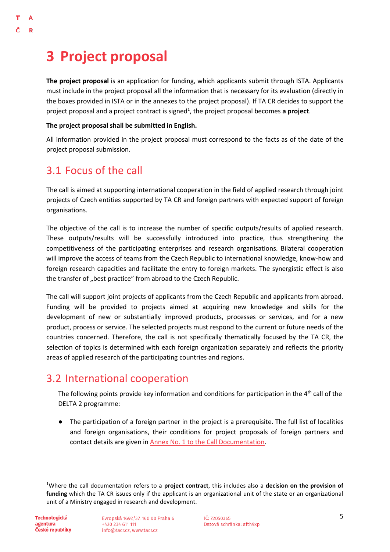## <span id="page-7-0"></span>**3 Project proposal**

 $\Delta$  $\mathbf{D}$ 

> **The project proposal** is an application for funding, which applicants submit through ISTA. Applicants must include in the project proposal all the information that is necessary for its evaluation (directly in the boxes provided in ISTA or in the annexes to the project proposal). If TA CR decides to support the project proposal and a project contract is signed<sup>1</sup>, the project proposal becomes a project.

#### **The project proposal shall be submitted in English.**

All information provided in the project proposal must correspond to the facts as of the date of the project proposal submission.

### <span id="page-7-1"></span>3.1 Focus of the call

The call is aimed at supporting international cooperation in the field of applied research through joint projects of Czech entities supported by TA CR and foreign partners with expected support of foreign organisations.

The objective of the call is to increase the number of specific outputs/results of applied research. These outputs/results will be successfully introduced into practice, thus strengthening the competitiveness of the participating enterprises and research organisations. Bilateral cooperation will improve the access of teams from the Czech Republic to international knowledge, know-how and foreign research capacities and facilitate the entry to foreign markets. The synergistic effect is also the transfer of "best practice" from abroad to the Czech Republic.

The call will support joint projects of applicants from the Czech Republic and applicants from abroad. Funding will be provided to projects aimed at acquiring new knowledge and skills for the development of new or substantially improved products, processes or services, and for a new product, process or service. The selected projects must respond to the current or future needs of the countries concerned. Therefore, the call is not specifically thematically focused by the TA CR, the selection of topics is determined with each foreign organization separately and reflects the priority areas of applied research of the participating countries and regions.

## <span id="page-7-2"></span>3.2 International cooperation

The following points provide key information and conditions for participation in the  $4<sup>th</sup>$  call of the DELTA 2 programme:

● The participation of a foreign partner in the project is a prerequisite. The full list of localities and foreign organisations, their conditions for project proposals of foreign partners and contact details are given in [Annex No. 1 to the Call Documentation.](https://www.tacr.cz/wp-content/uploads/documents/2022/05/17/1652805973_Annex%20No.%201%20-%20Specific%20conditions%20of%20individual%20foreign%20organizations.pdf)

 $\overline{a}$ 

<sup>1</sup>Where the call documentation refers to a **project contract**, this includes also a **decision on the provision of funding** which the TA CR issues only if the applicant is an organizational unit of the state or an organizational unit of a Ministry engaged in research and development.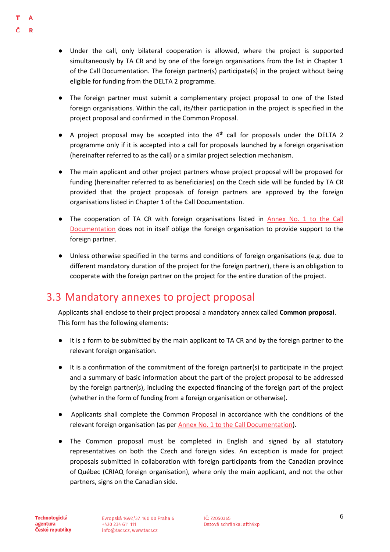- Under the call, only bilateral cooperation is allowed, where the project is supported simultaneously by TA CR and by one of the foreign organisations from the list in Chapter 1 of the Call Documentation. The foreign partner(s) participate(s) in the project without being eligible for funding from the DELTA 2 programme.
- The foreign partner must submit a complementary project proposal to one of the listed foreign organisations. Within the call, its/their participation in the project is specified in the project proposal and confirmed in the Common Proposal.
- $\bullet$  A project proposal may be accepted into the  $4<sup>th</sup>$  call for proposals under the DELTA 2 programme only if it is accepted into a call for proposals launched by a foreign organisation (hereinafter referred to as the call) or a similar project selection mechanism.
- The main applicant and other project partners whose project proposal will be proposed for funding (hereinafter referred to as beneficiaries) on the Czech side will be funded by TA CR provided that the project proposals of foreign partners are approved by the foreign organisations listed in Chapter 1 of the Call Documentation.
- The cooperation of TA CR with foreign organisations listed in Annex No. 1 to the Call [Documentation](https://www.tacr.cz/wp-content/uploads/documents/2022/05/17/1652805973_Annex%20No.%201%20-%20Specific%20conditions%20of%20individual%20foreign%20organizations.pdf) does not in itself oblige the foreign organisation to provide support to the foreign partner.
- Unless otherwise specified in the terms and conditions of foreign organisations (e.g. due to different mandatory duration of the project for the foreign partner), there is an obligation to cooperate with the foreign partner on the project for the entire duration of the project.

## <span id="page-8-0"></span>3.3 Mandatory annexes to project proposal

Applicants shall enclose to their project proposal a mandatory annex called **Common proposal**. This form has the following elements:

- It is a form to be submitted by the main applicant to TA CR and by the foreign partner to the relevant foreign organisation.
- It is a confirmation of the commitment of the foreign partner(s) to participate in the project and a summary of basic information about the part of the project proposal to be addressed by the foreign partner(s), including the expected financing of the foreign part of the project (whether in the form of funding from a foreign organisation or otherwise).
- Applicants shall complete the Common Proposal in accordance with the conditions of the relevant foreign organisation (as per [Annex No. 1 to the Call Documentation\)](https://www.tacr.cz/wp-content/uploads/documents/2022/05/17/1652805973_Annex%20No.%201%20-%20Specific%20conditions%20of%20individual%20foreign%20organizations.pdf).
- The Common proposal must be completed in English and signed by all statutory representatives on both the Czech and foreign sides. An exception is made for project proposals submitted in collaboration with foreign participants from the Canadian province of Québec (CRIAQ foreign organisation), where only the main applicant, and not the other partners, signs on the Canadian side.

D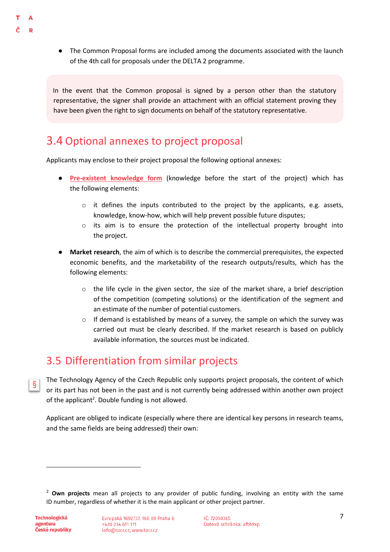- D
- The Common Proposal forms are included among the documents associated with the launch of the 4th call for proposals under the DELTA 2 programme.

In the event that the Common proposal is signed by a person other than the statutory representative, the signer shall provide an attachment with an official statement proving they have been given the right to sign documents on behalf of the statutory representative.

## <span id="page-9-0"></span>3.4 Optional annexes to project proposal

Applicants may enclose to their project proposal the following optional annexes:

- **[Pre-existent knowledge form](https://www.tacr.cz/wp-content/uploads/documents/2022/05/17/1652807569_Form%20Pre-existent%20knowledge.docx)** (knowledge before the start of the project) which has the following elements:
	- $\circ$  it defines the inputs contributed to the project by the applicants, e.g. assets, knowledge, know-how, which will help prevent possible future disputes;
	- o its aim is to ensure the protection of the intellectual property brought into the project.
- **Market research**, the aim of which is to describe the commercial prerequisites, the expected economic benefits, and the marketability of the research outputs/results, which has the following elements:
	- $\circ$  the life cycle in the given sector, the size of the market share, a brief description of the competition (competing solutions) or the identification of the segment and an estimate of the number of potential customers.
	- $\circ$  If demand is established by means of a survey, the sample on which the survey was carried out must be clearly described. If the market research is based on publicly available information, the sources must be indicated.

## <span id="page-9-1"></span>3.5 Differentiation from similar projects

The Technology Agency of the Czech Republic only supports project proposals, the content of which  $\delta$ or its part has not been in the past and is not currently being addressed within another own project of the applicant<sup>2</sup>. Double funding is not allowed.

Applicant are obliged to indicate (especially where there are identical key persons in research teams, and the same fields are being addressed) their own:

**.** 

<sup>2</sup> **Own projects** mean all projects to any provider of public funding, involving an entity with the same ID number, regardless of whether it is the main applicant or other project partner.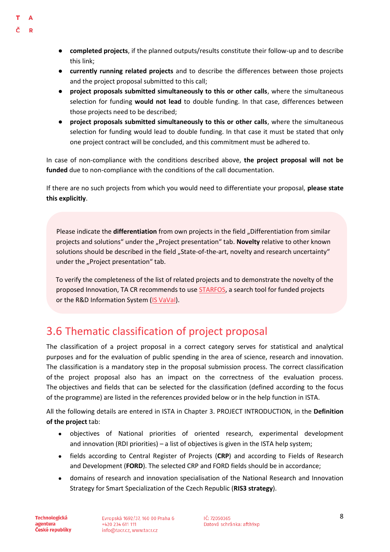- **completed projects**, if the planned outputs/results constitute their follow-up and to describe this link;
- **currently running related projects** and to describe the differences between those projects and the project proposal submitted to this call;
- **project proposals submitted simultaneously to this or other calls**, where the simultaneous selection for funding **would not lead** to double funding. In that case, differences between those projects need to be described;
- **project proposals submitted simultaneously to this or other calls**, where the simultaneous selection for funding would lead to double funding. In that case it must be stated that only one project contract will be concluded, and this commitment must be adhered to.

In case of non-compliance with the conditions described above, **the project proposal will not be funded** due to non-compliance with the conditions of the call documentation.

If there are no such projects from which you would need to differentiate your proposal, **please state this explicitly**.

Please indicate the **differentiation** from own projects in the field "Differentiation from similar projects and solutions" under the "Project presentation" tab. Novelty relative to other known solutions should be described in the field "State-of-the-art, novelty and research uncertainty" under the "Project presentation" tab.

To verify the completeness of the list of related projects and to demonstrate the novelty of the proposed Innovation, TA CR recommends to use [STARFOS,](https://starfos.tacr.cz/cs) a search tool for funded projects or the R&D Information System [\(IS VaVaI\)](https://www.isvavai.cz/).

## <span id="page-10-0"></span>3.6 Thematic classification of project proposal

The classification of a project proposal in a correct category serves for statistical and analytical purposes and for the evaluation of public spending in the area of science, research and innovation. The classification is a mandatory step in the proposal submission process. The correct classification of the project proposal also has an impact on the correctness of the evaluation process. The objectives and fields that can be selected for the classification (defined according to the focus of the programme) are listed in the references provided below or in the help function in ISTA.

All the following details are entered in ISTA in Chapter 3. PROJECT INTRODUCTION, in the **Definition of the project** tab:

- objectives of National priorities of oriented research, experimental development and innovation (RDI priorities) – a list of objectives is given in the ISTA help system;
- fields according to Central Register of Projects (**CRP**) and according to Fields of Research and Development (**FORD**). The selected CRP and FORD fields should be in accordance;
- domains of research and innovation specialisation of the National Research and Innovation Strategy for Smart Specialization of the Czech Republic (**RIS3 strategy**).

**Technologická** agentura České republiky

D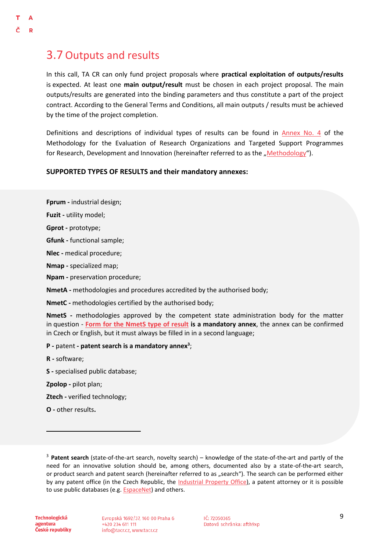## <span id="page-11-0"></span>3.7 Outputs and results

 $\mathbf{D}$ 

In this call, TA CR can only fund project proposals where **practical exploitation of outputs/results**  is expected. At least one **main output/result** must be chosen in each project proposal. The main outputs/results are generated into the binding parameters and thus constitute a part of the project contract. According to the General Terms and Conditions, all main outputs / results must be achieved by the time of the project completion.

Definitions and descriptions of individual types of results can be found in [Annex No. 4](https://www.vyzkum.cz/FrontClanek.aspx?idsekce=799796&ad=1&attid=847689) of the Methodology for the Evaluation of Research Organizations and Targeted Support Programmes for Research, Development and Innovation (hereinafter referred to as the "[Methodo](https://www.vyzkum.cz/FrontClanek.aspx?idsekce=799796&ad=1&attid=847689)logy").

#### **SUPPORTED TYPES OF RESULTS and their mandatory annexes:**

**Fprum -** industrial design;

**Fuzit -** utility model;

**Gprot -** prototype;

**Gfunk -** functional sample;

**Nlec -** medical procedure;

**Nmap -** specialized map;

**Npam -** preservation procedure;

**NmetA -** methodologies and procedures accredited by the authorised body;

**NmetC -** methodologies certified by the authorised body;

**NmetS -** methodologies approved by the competent state administration body for the matter in question - **[Form for the NmetS type of result](https://www.tacr.cz/wp-content/uploads/documents/2022/05/17/1652807658_Formul%C3%A1%C5%99%20pro%20druh%20v%C3%BDsledku%20NmetS%20-%20Form%20for%20result%20of%20the%20NmetS%20type.docx) is a mandatory annex**, the annex can be confirmed in Czech or English, but it must always be filled in in a second language;

#### **P -** patent **- patent search is a mandatory annex<sup>3</sup>** ;

**R -** software;

**S -** specialised public database;

**Zpolop -** pilot plan;

**Ztech -** verified technology;

**O -** other results**.**

**Technologická** agentura České republiky

<u>.</u>

Evropská 1692/37, 160 00 Praha 6 +420 234 611 111 info@tacr.cz, www.tacr.cz

IČ: 72050365 Datová schránka: afth9xp

<sup>3</sup> **Patent search** (state-of-the-art search, novelty search) – knowledge of the state-of-the-art and partly of the need for an innovative solution should be, among others, documented also by a state-of-the-art search, or product search and patent search (hereinafter referred to as "search"). The search can be performed either by any patent office (in the Czech Republic, the [Industrial Property Office\)](https://www.upv.cz/cs.html), a patent attorney or it is possible to use public databases (e.g. **EspaceNet**) and others.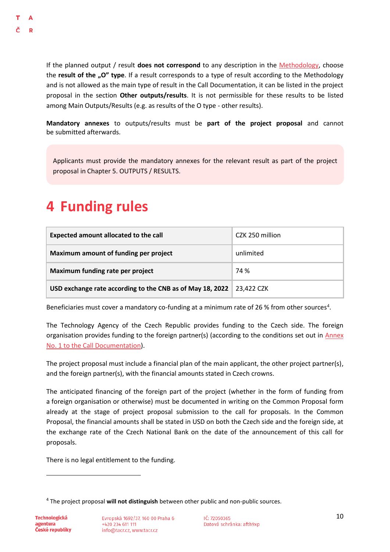If the planned output / result **does not correspond** to any description in the [Methodology,](https://www.vyzkum.cz/FrontClanek.aspx?idsekce=799796) choose the **result of the "O" type**. If a result corresponds to a type of result according to the Methodology and is not allowed as the main type of result in the Call Documentation, it can be listed in the project proposal in the section **Other outputs/results**. It is not permissible for these results to be listed among Main Outputs/Results (e.g. as results of the O type - other results).

**Mandatory annexes** to outputs/results must be **part of the project proposal** and cannot be submitted afterwards.

Applicants must provide the mandatory annexes for the relevant result as part of the project proposal in Chapter 5. OUTPUTS / RESULTS.

## <span id="page-12-0"></span>**4 Funding rules**

| Expected amount allocated to the call                     | CZK 250 million |
|-----------------------------------------------------------|-----------------|
| Maximum amount of funding per project                     | unlimited       |
| Maximum funding rate per project                          | 74 %            |
| USD exchange rate according to the CNB as of May 18, 2022 | 23,422 CZK      |

Beneficiaries must cover a mandatory co-funding at a minimum rate of 26 % from other sources<sup>4</sup>.

The Technology Agency of the Czech Republic provides funding to the Czech side. The foreign organisation provides funding to the foreign partner(s) (according to the conditions set out in [Annex](https://www.tacr.cz/wp-content/uploads/documents/2022/05/17/1652805973_Annex%20No.%201%20-%20Specific%20conditions%20of%20individual%20foreign%20organizations.pdf)  [No. 1 to the Call Documentation\)](https://www.tacr.cz/wp-content/uploads/documents/2022/05/17/1652805973_Annex%20No.%201%20-%20Specific%20conditions%20of%20individual%20foreign%20organizations.pdf).

The project proposal must include a financial plan of the main applicant, the other project partner(s), and the foreign partner(s), with the financial amounts stated in Czech crowns.

The anticipated financing of the foreign part of the project (whether in the form of funding from a foreign organisation or otherwise) must be documented in writing on the Common Proposal form already at the stage of project proposal submission to the call for proposals. In the Common Proposal, the financial amounts shall be stated in USD on both the Czech side and the foreign side, at the exchange rate of the Czech National Bank on the date of the announcement of this call for proposals.

There is no legal entitlement to the funding.

**.** 

<sup>4</sup> The project proposal **will not distinguish** between other public and non-public sources.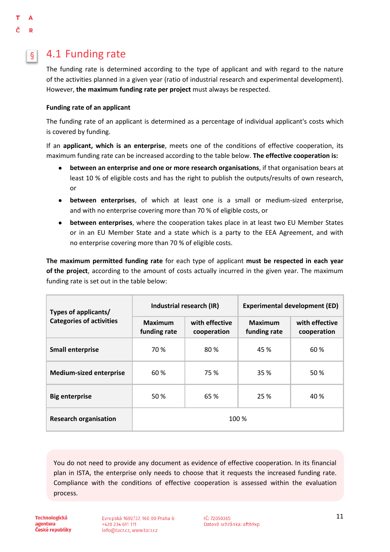#### <span id="page-13-0"></span>4.1 Funding rate  $\S$

The funding rate is determined according to the type of applicant and with regard to the nature of the activities planned in a given year (ratio of industrial research and experimental development). However, **the maximum funding rate per project** must always be respected.

#### <span id="page-13-1"></span>**Funding rate of an applicant**

The funding rate of an applicant is determined as a percentage of individual applicant's costs which is covered by funding.

If an **applicant, which is an enterprise**, meets one of the conditions of effective cooperation, its maximum funding rate can be increased according to the table below. **The effective cooperation is:**

- **between an enterprise and one or more research organisations**, if that organisation bears at least 10 % of eligible costs and has the right to publish the outputs/results of own research, or
- **between enterprises**, of which at least one is a small or medium-sized enterprise, and with no enterprise covering more than 70 % of eligible costs, or
- **between enterprises**, where the cooperation takes place in at least two EU Member States or in an EU Member State and a state which is a party to the EEA Agreement, and with no enterprise covering more than 70 % of eligible costs.

**The maximum permitted funding rate** for each type of applicant **must be respected in each year of the project**, according to the amount of costs actually incurred in the given year. The maximum funding rate is set out in the table below:

| Types of applicants/            | Industrial research (IR)       |                               | <b>Experimental development (ED)</b> |                               |
|---------------------------------|--------------------------------|-------------------------------|--------------------------------------|-------------------------------|
| <b>Categories of activities</b> | <b>Maximum</b><br>funding rate | with effective<br>cooperation | <b>Maximum</b><br>funding rate       | with effective<br>cooperation |
| <b>Small enterprise</b>         | 70 %                           | 80%                           | 45 %                                 | 60%                           |
| <b>Medium-sized enterprise</b>  | 60 %                           | 75 %                          | 35 %                                 | 50 %                          |
| <b>Big enterprise</b>           | 50 %                           | 65 %                          | 25 %                                 | 40 %                          |
| <b>Research organisation</b>    | 100 %                          |                               |                                      |                               |

You do not need to provide any document as evidence of effective cooperation. In its financial plan in ISTA, the enterprise only needs to choose that it requests the increased funding rate. Compliance with the conditions of effective cooperation is assessed within the evaluation process.

**Technologická** agentura České republiky Evropská 1692/37, 160 00 Praha 6 +420 234 611 111 info@tacr.cz, www.tacr.cz

IČ: 72050365 Datová schránka: afth9xp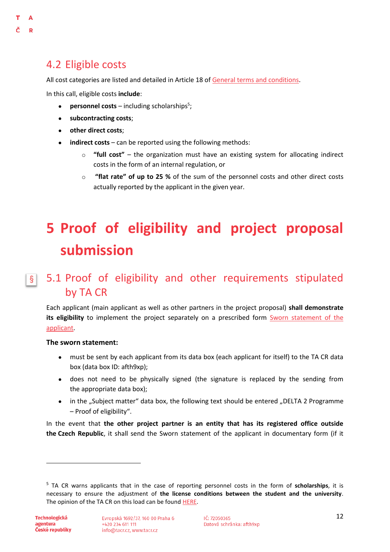<span id="page-14-2"></span> $\Lambda$  $\mathbf{D}$ 

<span id="page-14-0"></span>All cost categories are listed and detailed in Article 18 of [General terms and conditions.](https://www.tacr.cz/wp-content/uploads/documents/2022/05/17/1652806207_V%C5%A1eobecn%C3%A9%20podm%C3%ADnky%20(verze%20%C4%8D.%207).pdf)

In this call, eligible costs **include**:

- **•** personnel costs including scholarships<sup>5</sup>;
- **subcontracting costs**;
- **other direct costs**;
- **indirect costs** can be reported using the following methods:
	- o **"full cost"** the organization must have an existing system for allocating indirect costs in the form of an internal regulation, or
	- o **"flat rate" of up to 25 %** of the sum of the personnel costs and other direct costs actually reported by the applicant in the given year.

## <span id="page-14-1"></span>**5 Proof of eligibility and project proposal submission**

#### 5.1 Proof of eligibility and other requirements stipulated  $\vert$ by TA CR

Each applicant (main applicant as well as other partners in the project proposal) **shall demonstrate its eligibility** to implement the project separately on a prescribed form [Sworn statement of the](https://www.tacr.cz/wp-content/uploads/documents/2022/05/17/1652806397_%C4%8Cestn%C3%A9%20prohl%C3%A1%C5%A1en%C3%AD%20za%20uchaze%C4%8De%20-%20Sworn%20statement%20of%20the%20applicant.docx)  [applicant.](https://www.tacr.cz/wp-content/uploads/documents/2022/05/17/1652806397_%C4%8Cestn%C3%A9%20prohl%C3%A1%C5%A1en%C3%AD%20za%20uchaze%C4%8De%20-%20Sworn%20statement%20of%20the%20applicant.docx)

#### **The sworn statement:**

- must be sent by each applicant from its data box (each applicant for itself) to the TA CR data box (data box ID: afth9xp);
- does not need to be physically signed (the signature is replaced by the sending from the appropriate data box);
- in the "Subject matter" data box, the following text should be entered "DELTA 2 Programme – Proof of eligibility".

In the event that **the other project partner is an entity that has its registered office outside the Czech Republic**, it shall send the Sworn statement of the applicant in documentary form (if it

 $\overline{a}$ 

<sup>5</sup> TA CR warns applicants that in the case of reporting personnel costs in the form of **scholarships**, it is necessary to ensure the adjustment of **the license conditions between the student and the university**. The opinion of the TA CR on this load can be found [HERE.](https://www.tacr.cz/dokums_raw/stanoviska/190624_stanovisko_stipendia.pdf)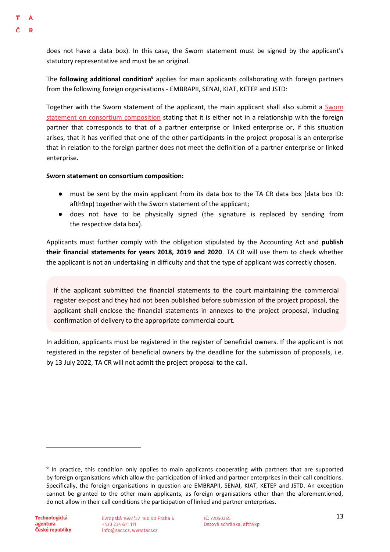does not have a data box). In this case, the Sworn statement must be signed by the applicant's statutory representative and must be an original.

The **following additional condition<sup>6</sup>** applies for main applicants collaborating with foreign partners from the following foreign organisations - EMBRAPII, SENAI, KIAT, KETEP and JSTD:

Together with the Sworn statement of the applicant, the main applicant shall also submit a [Sworn](https://www.tacr.cz/wp-content/uploads/documents/2022/05/17/1652806487_%C4%8Cestn%C3%A9%20prohl%C3%A1%C5%A1en%C3%AD%20o%20slo%C5%BEen%C3%AD%20konsorcia.docx)  [statement on consortium composition](https://www.tacr.cz/wp-content/uploads/documents/2022/05/17/1652806487_%C4%8Cestn%C3%A9%20prohl%C3%A1%C5%A1en%C3%AD%20o%20slo%C5%BEen%C3%AD%20konsorcia.docx) stating that it is either not in a relationship with the foreign partner that corresponds to that of a partner enterprise or linked enterprise or, if this situation arises, that it has verified that one of the other participants in the project proposal is an enterprise that in relation to the foreign partner does not meet the definition of a partner enterprise or linked enterprise.

#### **Sworn statement on consortium composition:**

- must be sent by the main applicant from its data box to the TA CR data box (data box ID: afth9xp) together with the Sworn statement of the applicant;
- does not have to be physically signed (the signature is replaced by sending from the respective data box).

Applicants must further comply with the obligation stipulated by the Accounting Act and **publish their financial statements for years 2018, 2019 and 2020**. TA CR will use them to check whether the applicant is not an undertaking in difficulty and that the type of applicant was correctly chosen.

If the applicant submitted the financial statements to the court maintaining the commercial register ex-post and they had not been published before submission of the project proposal, the applicant shall enclose the financial statements in annexes to the project proposal, including confirmation of delivery to the appropriate commercial court.

In addition, applicants must be registered in the register of beneficial owners. If the applicant is not registered in the register of beneficial owners by the deadline for the submission of proposals, i.e. by 13 July 2022, TA CR will not admit the project proposal to the call.

 $\overline{a}$ 

<sup>&</sup>lt;sup>6</sup> In practice, this condition only applies to main applicants cooperating with partners that are supported by foreign organisations which allow the participation of linked and partner enterprises in their call conditions. Specifically, the foreign organisations in question are EMBRAPII, SENAI, KIAT, KETEP and JSTD. An exception cannot be granted to the other main applicants, as foreign organisations other than the aforementioned, do not allow in their call conditions the participation of linked and partner enterprises.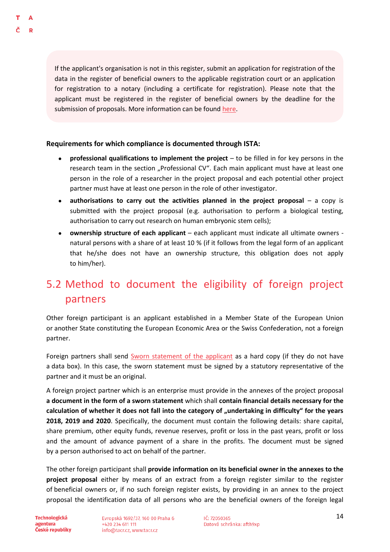If the applicant's organisation is not in this register, submit an application for registration of the data in the register of beneficial owners to the applicable registration court or an application for registration to a notary (including a certificate for registration). Please note that the applicant must be registered in the register of beneficial owners by the deadline for the submission of proposals. More information can be found [here.](https://esm.justice.cz/ias/issm/napoveda#zapisSM)

### **Requirements for which compliance is documented through ISTA:**

- **professional qualifications to implement the project** to be filled in for key persons in the research team in the section "Professional CV". Each main applicant must have at least one person in the role of a researcher in the project proposal and each potential other project partner must have at least one person in the role of other investigator.
- authorisations to carry out the activities planned in the project proposal a copy is submitted with the project proposal (e.g. authorisation to perform a biological testing, authorisation to carry out research on human embryonic stem cells);
- **ownership structure of each applicant**  each applicant must indicate all ultimate owners natural persons with a share of at least 10 % (if it follows from the legal form of an applicant that he/she does not have an ownership structure, this obligation does not apply to him/her).

## <span id="page-16-0"></span>5.2 Method to document the eligibility of foreign project partners

Other foreign participant is an applicant established in a Member State of the European Union or another State constituting the European Economic Area or the Swiss Confederation, not a foreign partner.

Foreign partners shall send [Sworn statement of the applicant](https://www.tacr.cz/wp-content/uploads/documents/2022/05/17/1652806397_%C4%8Cestn%C3%A9%20prohl%C3%A1%C5%A1en%C3%AD%20za%20uchaze%C4%8De%20-%20Sworn%20statement%20of%20the%20applicant.docx) as a hard copy (if they do not have a data box). In this case, the sworn statement must be signed by a statutory representative of the partner and it must be an original.

A foreign project partner which is an enterprise must provide in the annexes of the project proposal **a document in the form of a sworn statement** which shall **contain financial details necessary for the**  calculation of whether it does not fall into the category of "undertaking in difficulty" for the years **2018, 2019 and 2020**. Specifically, the document must contain the following details: share capital, share premium, other equity funds, revenue reserves, profit or loss in the past years, profit or loss and the amount of advance payment of a share in the profits. The document must be signed by a person authorised to act on behalf of the partner.

The other foreign participant shall **provide information on its beneficial owner in the annexes to the project proposal** either by means of an extract from a foreign register similar to the register of beneficial owners or, if no such foreign register exists, by providing in an annex to the project proposal the identification data of all persons who are the beneficial owners of the foreign legal

**Technologická** agentura České republiky Evropská 1692/37, 160 00 Praha 6 +420 234 611 111 info@tacr.cz, www.tacr.cz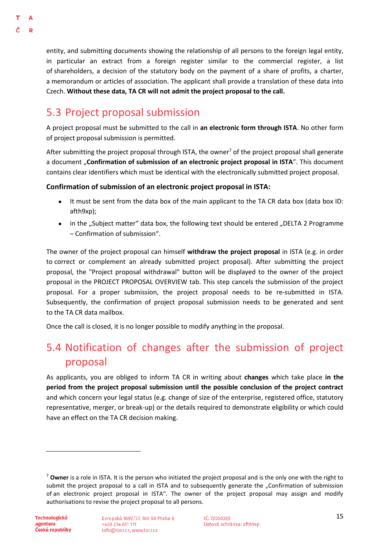entity, and submitting documents showing the relationship of all persons to the foreign legal entity, in particular an extract from a foreign register similar to the commercial register, a list of shareholders, a decision of the statutory body on the payment of a share of profits, a charter, a memorandum or articles of association. The applicant shall provide a translation of these data into Czech. **Without these data, TA CR will not admit the project proposal to the call.**

## <span id="page-17-0"></span>5.3 Project proposal submission

A project proposal must be submitted to the call in **an electronic form through ISTA**. No other form of project proposal submission is permitted.

After submitting the project proposal through ISTA, the owner<sup>7</sup> of the project proposal shall generate a document "Confirmation of submission of an electronic project proposal in ISTA". This document contains clear identifiers which must be identical with the electronically submitted project proposal.

### **Confirmation of submission of an electronic project proposal in ISTA:**

- It must be sent from the data box of the main applicant to the TA CR data box (data box ID: afth9xp);
- in the "Subject matter" data box, the following text should be entered "DELTA 2 Programme – Confirmation of submission".

The owner of the project proposal can himself **withdraw the project proposal** in ISTA (e.g. in order to correct or complement an already submitted project proposal). After submitting the project proposal, the "Project proposal withdrawal" button will be displayed to the owner of the project proposal in the PROJECT PROPOSAL OVERVIEW tab. This step cancels the submission of the project proposal. For a proper submission, the project proposal needs to be re-submitted in ISTA. Subsequently, the confirmation of project proposal submission needs to be generated and sent to the TA CR data mailbox.

Once the call is closed, it is no longer possible to modify anything in the proposal.

## <span id="page-17-1"></span>5.4 Notification of changes after the submission of project proposal

As applicants, you are obliged to inform TA CR in writing about **changes** which take place **in the period from the project proposal submission until the possible conclusion of the project contract**  and which concern your legal status (e.g. change of size of the enterprise, registered office, statutory representative, merger, or break-up) or the details required to demonstrate eligibility or which could have an effect on the TA CR decision making.

**.** 

<sup>7</sup> **Owner** is a role in ISTA. It is the person who initiated the project proposal and is the only one with the right to submit the project proposal to a call in ISTA and to subsequently generate the "Confirmation of submission of an electronic project proposal in ISTA". The owner of the project proposal may assign and modify authorisations to revise the project proposal to all persons.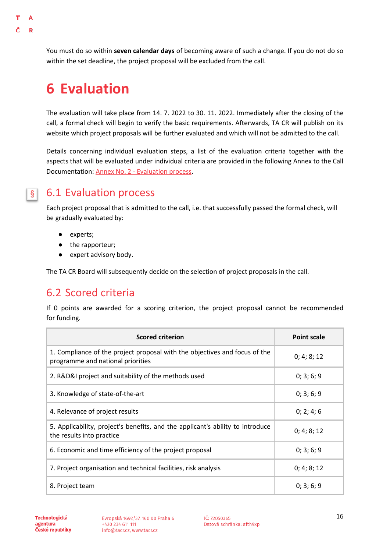## <span id="page-18-0"></span>**6 Evaluation**

The evaluation will take place from 14. 7. 2022 to 30. 11. 2022. Immediately after the closing of the call, a formal check will begin to verify the basic requirements. Afterwards, TA CR will publish on its website which project proposals will be further evaluated and which will not be admitted to the call.

Details concerning individual evaluation steps, a list of the evaluation criteria together with the aspects that will be evaluated under individual criteria are provided in the following Annex to the Call Documentation: [Annex No.](https://www.tacr.cz/wp-content/uploads/documents/2022/05/17/1652806123_Annex%20No.%202%20-%20Evaluation%20process.pdf) [2](https://www.tacr.cz/wp-content/uploads/documents/2022/05/17/1652806123_Annex%20No.%202%20-%20Evaluation%20process.pdf) [-](https://www.tacr.cz/wp-content/uploads/documents/2022/05/17/1652806123_Annex%20No.%202%20-%20Evaluation%20process.pdf) [Evaluation process.](https://www.tacr.cz/wp-content/uploads/documents/2022/05/17/1652806123_Annex%20No.%202%20-%20Evaluation%20process.pdf)

### $\S$

<span id="page-18-1"></span>т  $\Delta$ D

## 6.1 Evaluation process

Each project proposal that is admitted to the call, i.e. that successfully passed the formal check, will be gradually evaluated by:

- experts;
- the rapporteur;
- expert advisory body.

The TA CR Board will subsequently decide on the selection of project proposals in the call.

## <span id="page-18-2"></span>6.2 Scored criteria

If 0 points are awarded for a scoring criterion, the project proposal cannot be recommended for funding.

| <b>Scored criterion</b>                                                                                         | <b>Point scale</b> |
|-----------------------------------------------------------------------------------------------------------------|--------------------|
| 1. Compliance of the project proposal with the objectives and focus of the<br>programme and national priorities | 0; 4; 8; 12        |
| 2. R&D&I project and suitability of the methods used                                                            | 0; 3; 6; 9         |
| 3. Knowledge of state-of-the-art                                                                                | 0; 3; 6; 9         |
| 4. Relevance of project results                                                                                 | 0; 2; 4; 6         |
| 5. Applicability, project's benefits, and the applicant's ability to introduce<br>the results into practice     | 0; 4; 8; 12        |
| 6. Economic and time efficiency of the project proposal                                                         | 0; 3; 6; 9         |
| 7. Project organisation and technical facilities, risk analysis                                                 | 0; 4; 8; 12        |
| 8. Project team                                                                                                 | 0; 3; 6; 9         |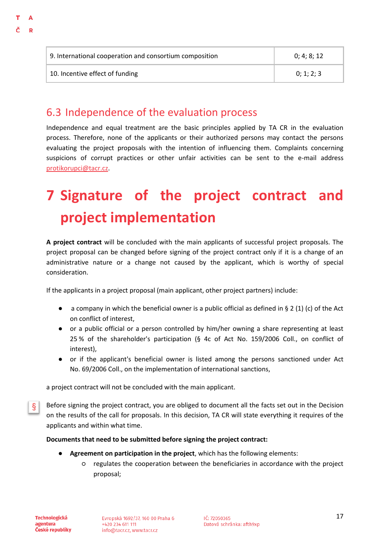| 9. International cooperation and consortium composition | 0:4:8:12   |
|---------------------------------------------------------|------------|
| 10. Incentive effect of funding                         | 0: 1: 2: 3 |

### <span id="page-19-0"></span>6.3 Independence of the evaluation process

Independence and equal treatment are the basic principles applied by TA CR in the evaluation process. Therefore, none of the applicants or their authorized persons may contact the persons evaluating the project proposals with the intention of influencing them. Complaints concerning suspicions of corrupt practices or other unfair activities can be sent to the e-mail address [protikorupci@tacr.cz.](http://protikorupci@tacr.cz)

## <span id="page-19-1"></span>**7 Signature of the project contract and project implementation**

**A project contract** will be concluded with the main applicants of successful project proposals. The project proposal can be changed before signing of the project contract only if it is a change of an administrative nature or a change not caused by the applicant, which is worthy of special consideration.

If the applicants in a project proposal (main applicant, other project partners) include:

- $\bullet$  a company in which the beneficial owner is a public official as defined in § 2 (1) (c) of the Act on conflict of interest,
- or a public official or a person controlled by him/her owning a share representing at least 25 % of the shareholder's participation (§ 4c of Act No. 159/2006 Coll., on conflict of interest),
- or if the applicant's beneficial owner is listed among the persons sanctioned under Act No. 69/2006 Coll., on the implementation of international sanctions,

a project contract will not be concluded with the main applicant.

Before signing the project contract, you are obliged to document all the facts set out in the Decision § on the results of the call for proposals. In this decision, TA CR will state everything it requires of the applicants and within what time.

### **Documents that need to be submitted before signing the project contract:**

- **Agreement on participation in the project**, which has the following elements:
	- regulates the cooperation between the beneficiaries in accordance with the project proposal;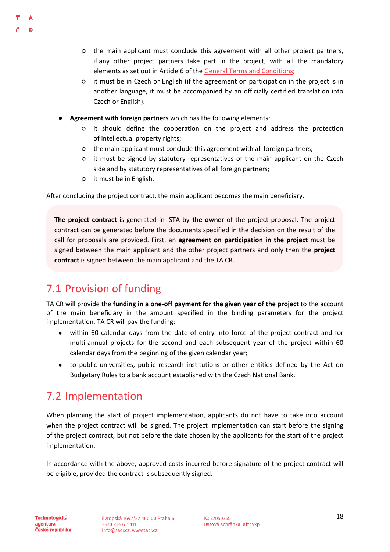D

- the main applicant must conclude this agreement with all other project partners, if any other project partners take part in the project, with all the mandatory elements as set out in Article 6 of th[e](https://www.tacr.cz/wp-content/uploads/documents/2022/05/17/1652806207_V%C5%A1eobecn%C3%A9%20podm%C3%ADnky%20(verze%20%C4%8D.%207).pdf) [General Terms and Conditions;](https://www.tacr.cz/wp-content/uploads/documents/2022/05/17/1652806207_V%C5%A1eobecn%C3%A9%20podm%C3%ADnky%20(verze%20%C4%8D.%207).pdf)
- it must be in Czech or English (if the agreement on participation in the project is in another language, it must be accompanied by an officially certified translation into Czech or English).
- Agreement with foreign partners which has the following elements:
	- it should define the cooperation on the project and address the protection of intellectual property rights;
	- the main applicant must conclude this agreement with all foreign partners;
	- it must be signed by statutory representatives of the main applicant on the Czech side and by statutory representatives of all foreign partners;
	- it must be in English.

After concluding the project contract, the main applicant becomes the main beneficiary.

**The project contract** is generated in ISTA by **the owner** of the project proposal. The project contract can be generated before the documents specified in the decision on the result of the call for proposals are provided. First, an **agreement on participation in the project** must be signed between the main applicant and the other project partners and only then the **project contract** is signed between the main applicant and the TA CR.

## <span id="page-20-0"></span>7.1 Provision of funding

TA CR will provide the **funding in a one-off payment for the given year of the project** to the account of the main beneficiary in the amount specified in the binding parameters for the project implementation. TA CR will pay the funding:

- within 60 calendar days from the date of entry into force of the project contract and for multi-annual projects for the second and each subsequent year of the project within 60 calendar days from the beginning of the given calendar year;
- to public universities, public research institutions or other entities defined by the Act on Budgetary Rules to a bank account established with the Czech National Bank.

## <span id="page-20-1"></span>7.2 Implementation

When planning the start of project implementation, applicants do not have to take into account when the project contract will be signed. The project implementation can start before the signing of the project contract, but not before the date chosen by the applicants for the start of the project implementation.

In accordance with the above, approved costs incurred before signature of the project contract will be eligible, provided the contract is subsequently signed.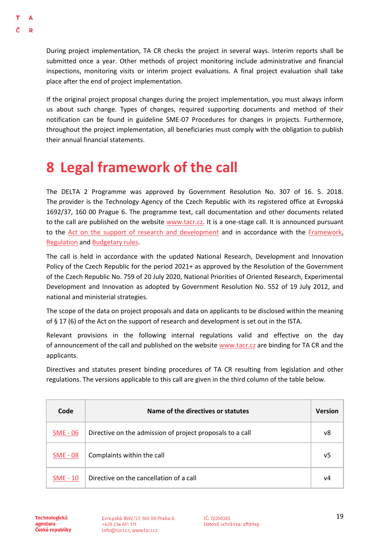During project implementation, TA CR checks the project in several ways. Interim reports shall be submitted once a year. Other methods of project monitoring include administrative and financial inspections, monitoring visits or interim project evaluations. A final project evaluation shall take place after the end of project implementation.

If the original project proposal changes during the project implementation, you must always inform us about such change. Types of changes, required supporting documents and method of their notification can be found in guideline SME-07 Procedures for changes in projects. Furthermore, throughout the project implementation, all beneficiaries must comply with the obligation to publish their annual financial statements.

## <span id="page-21-0"></span>**8 Legal framework of the call**

The DELTA 2 Programme was approved by Government Resolution No. 307 of 16. 5. 2018. The provider is the Technology Agency of the Czech Republic with its registered office at Evropská 1692/37, 160 00 Prague 6. The programme text, call documentation and other documents related to the call are published on the website [www.tacr.cz.](http://www.tacr.cz/) It is a one-stage call. It is announced pursuant to the [Act on the support of research and development](http://www.vyzkum.cz/storage/att/BB743D4E2B61E95FA36D7DADD47BE704/Z%C3%A1kon_130_2002.pdf) and in accordance with the [Framework,](https://eur-lex.europa.eu/legal-content/CS/TXT/?qid=1412338382197&uri=CELEX:52014XC0627(01)) [Regulation](https://eur-lex.europa.eu/legal-content/CS/TXT/?qid=1412338347983&uri=CELEX:32014R0651) an[d Budgetary rules.](https://www.zakonyprolidi.cz/cs/2000-218)

The call is held in accordance with the updated National Research, Development and Innovation Policy of the Czech Republic for the period 2021+ as approved by the Resolution of the Government of the Czech Republic No. 759 of 20 July 2020, National Priorities of Oriented Research, Experimental Development and Innovation as adopted by Government Resolution No. 552 of 19 July 2012, and national and ministerial strategies.

The scope of the data on project proposals and data on applicants to be disclosed within the meaning of § 17 (6) of the Act on the support of research and development is set out in the ISTA.

Relevant provisions in the following internal regulations valid and effective on the day of announcement of the call and published on the websit[e www.tacr.cz](https://www.tacr.cz/) are binding for TA CR and the applicants.

Directives and statutes present binding procedures of TA CR resulting from legislation and other regulations. The versions applicable to this call are given in the third column of the table below.

| Code            | Name of the directives or statutes                        | <b>Version</b> |
|-----------------|-----------------------------------------------------------|----------------|
| SME - 06        | Directive on the admission of project proposals to a call | v8             |
| <b>SME - 08</b> | Complaints within the call                                | v5             |
| <b>SME - 10</b> | Directive on the cancellation of a call                   | v4             |

**Technologická** agentura České republiky Evropská 1692/37, 160 00 Praha 6 +420 234 611 111 info@tacr.cz, www.tacr.cz

 $1$ Č: 72050365 Datová schránka: afth9xp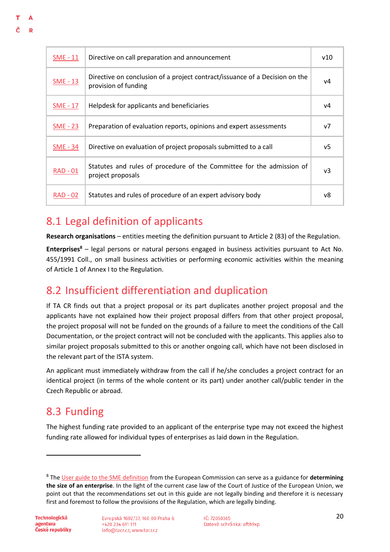| <b>SME - 11</b> | Directive on call preparation and announcement                                                      | v10            |
|-----------------|-----------------------------------------------------------------------------------------------------|----------------|
| $SME - 13$      | Directive on conclusion of a project contract/issuance of a Decision on the<br>provision of funding | v4             |
| <b>SME - 17</b> | Helpdesk for applicants and beneficiaries                                                           | ν4             |
| <b>SME - 23</b> | Preparation of evaluation reports, opinions and expert assessments                                  | V <sub>7</sub> |
| <b>SME - 34</b> | Directive on evaluation of project proposals submitted to a call                                    | v5             |
| RAD - 01        | Statutes and rules of procedure of the Committee for the admission of<br>project proposals          | v3             |
| <b>RAD - 02</b> | Statutes and rules of procedure of an expert advisory body                                          | v8             |

## <span id="page-22-0"></span>8.1 Legal definition of applicants

**Research organisations** – entities meeting the definition pursuant to Article 2 (83) of the Regulation.

**Enterprises<sup>8</sup>** – legal persons or natural persons engaged in business activities pursuant to Act No. 455/1991 Coll., on small business activities or performing economic activities within the meaning of Article 1 of Annex I to the Regulation.

## <span id="page-22-1"></span>8.2 Insufficient differentiation and duplication

If TA CR finds out that a project proposal or its part duplicates another project proposal and the applicants have not explained how their project proposal differs from that other project proposal, the project proposal will not be funded on the grounds of a failure to meet the conditions of the Call Documentation, or the project contract will not be concluded with the applicants. This applies also to similar project proposals submitted to this or another ongoing call, which have not been disclosed in the relevant part of the ISTA system.

An applicant must immediately withdraw from the call if he/she concludes a project contract for an identical project (in terms of the whole content or its part) under another call/public tender in the Czech Republic or abroad.

## <span id="page-22-2"></span>8.3 Funding

The highest funding rate provided to an applicant of the enterprise type may not exceed the highest funding rate allowed for individual types of enterprises as laid down in the Regulation.

**.** 

D

<sup>8</sup> The [User guide to the SME definition](https://op.europa.eu/cs/publication-detail/-/publication/756d9260-ee54-11ea-991b-01aa75ed71a1/language-cs) from the European Commission can serve as a guidance for **determining the size of an enterprise**. In the light of the current case law of the Court of Justice of the European Union, we point out that the recommendations set out in this guide are not legally binding and therefore it is necessary first and foremost to follow the provisions of the Regulation, which are legally binding.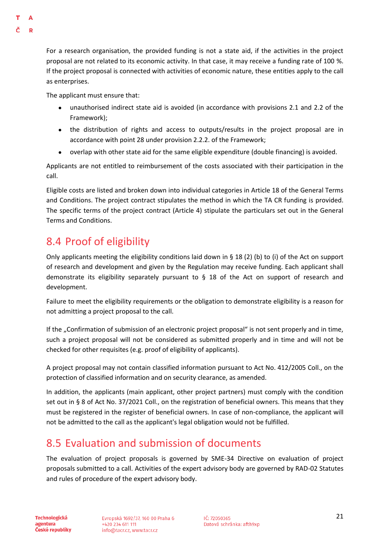For a research organisation, the provided funding is not a state aid, if the activities in the project proposal are not related to its economic activity. In that case, it may receive a funding rate of 100 %. If the project proposal is connected with activities of economic nature, these entities apply to the call as enterprises.

The applicant must ensure that:

- unauthorised indirect state aid is avoided (in accordance with provisions 2.1 and 2.2 of the Framework);
- the distribution of rights and access to outputs/results in the project proposal are in accordance with point 28 under provision 2.2.2. of the Framework;
- overlap with other state aid for the same eligible expenditure (double financing) is avoided.

Applicants are not entitled to reimbursement of the costs associated with their participation in the call.

Eligible costs are listed and broken down into individual categories in Article 18 of the General Terms and Conditions. The project contract stipulates the method in which the TA CR funding is provided. The specific terms of the project contract (Article 4) stipulate the particulars set out in the General Terms and Conditions.

## <span id="page-23-0"></span>8.4 Proof of eligibility

Only applicants meeting the eligibility conditions laid down in § 18 (2) (b) to (i) of the Act on support of research and development and given by the Regulation may receive funding. Each applicant shall demonstrate its eligibility separately pursuant to  $\S$  18 of the Act on support of research and development.

Failure to meet the eligibility requirements or the obligation to demonstrate eligibility is a reason for not admitting a project proposal to the call.

If the "Confirmation of submission of an electronic project proposal" is not sent properly and in time, such a project proposal will not be considered as submitted properly and in time and will not be checked for other requisites (e.g. proof of eligibility of applicants).

A project proposal may not contain classified information pursuant to Act No. 412/2005 Coll., on the protection of classified information and on security clearance, as amended.

In addition, the applicants (main applicant, other project partners) must comply with the condition set out in § 8 of Act No. 37/2021 Coll., on the registration of beneficial owners. This means that they must be registered in the register of beneficial owners. In case of non-compliance, the applicant will not be admitted to the call as the applicant's legal obligation would not be fulfilled.

## <span id="page-23-1"></span>8.5 Evaluation and submission of documents

The evaluation of project proposals is governed by SME-34 Directive on evaluation of project proposals submitted to a call. Activities of the expert advisory body are governed by RAD-02 Statutes and rules of procedure of the expert advisory body.

**Technologická** agentura České republiky Evropská 1692/37, 160 00 Praha 6 +420 234 611 111 info@tacr.cz, www.tacr.cz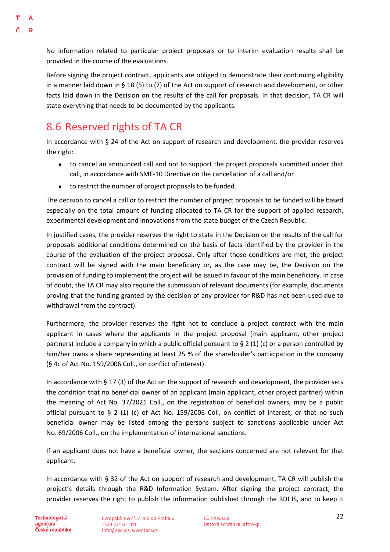D

No information related to particular project proposals or to interim evaluation results shall be provided in the course of the evaluations.

Before signing the project contract, applicants are obliged to demonstrate their continuing eligibility in a manner laid down in § 18 (5) to (7) of the Act on support of research and development, or other facts laid down in the Decision on the results of the call for proposals. In that decision, TA CR will state everything that needs to be documented by the applicants.

## <span id="page-24-0"></span>8.6 Reserved rights of TA CR

In accordance with § 24 of the Act on support of research and development, the provider reserves the right:

- to cancel an announced call and not to support the project proposals submitted under that call, in accordance with SME-10 Directive on the cancellation of a call and/or
- to restrict the number of project proposals to be funded.

The decision to cancel a call or to restrict the number of project proposals to be funded will be based especially on the total amount of funding allocated to TA CR for the support of applied research, experimental development and innovations from the state budget of the Czech Republic.

In justified cases, the provider reserves the right to state in the Decision on the results of the call for proposals additional conditions determined on the basis of facts identified by the provider in the course of the evaluation of the project proposal. Only after those conditions are met, the project contract will be signed with the main beneficiary or, as the case may be, the Decision on the provision of funding to implement the project will be issued in favour of the main beneficiary. In case of doubt, the TA CR may also require the submission of relevant documents (for example, documents proving that the funding granted by the decision of any provider for R&D has not been used due to withdrawal from the contract).

Furthermore, the provider reserves the right not to conclude a project contract with the main applicant in cases where the applicants in the project proposal (main applicant, other project partners) include a company in which a public official pursuant to  $\S 2$  (1) (c) or a person controlled by him/her owns a share representing at least 25 % of the shareholder's participation in the company (§ 4c of Act No. 159/2006 Coll., on conflict of interest).

In accordance with § 17 (3) of the Act on the support of research and development, the provider sets the condition that no beneficial owner of an applicant (main applicant, other project partner) within the meaning of Act No. 37/2021 Coll., on the registration of beneficial owners, may be a public official pursuant to § 2 (1) (c) of Act No. 159/2006 Coll, on conflict of interest, or that no such beneficial owner may be listed among the persons subject to sanctions applicable under Act No. 69/2006 Coll., on the implementation of international sanctions.

If an applicant does not have a beneficial owner, the sections concerned are not relevant for that applicant.

In accordance with § 32 of the Act on support of research and development, TA CR will publish the project's details through the R&D Information System. After signing the project contract, the provider reserves the right to publish the information published through the RDI IS, and to keep it

**Technologická** agentura České republiky Evropská 1692/37, 160 00 Praha 6 +420 234 611 111 info@tacr.cz, www.tacr.cz